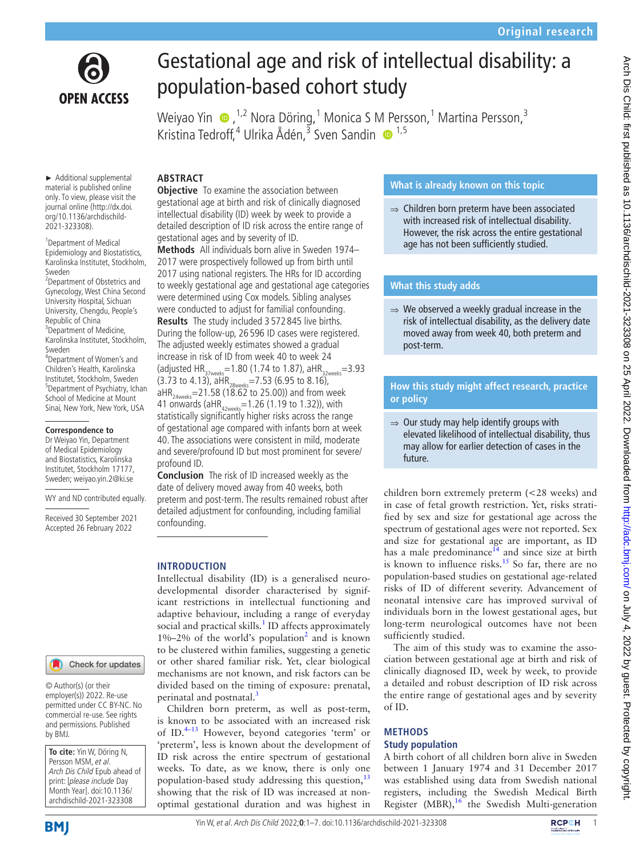

# Gestational age and risk of intellectual disability: a population-based cohort study

Weiyao Yin  $\,\,\bullet\,$ ,<sup>1,2</sup> Nora Döring, $^1$  Monica S M Persson, $^1$  Martina Persson, $^3$ Kristina Tedroff,<sup>4</sup> Ulrika Ådén,<sup>3</sup> Sven Sandin ® <sup>1,5</sup>

► Additional supplemental material is published online only. To view, please visit the journal online ([http://dx.doi.](http://dx.doi.org/10.1136/archdischild-2021-323308) [org/10.1136/archdischild-](http://dx.doi.org/10.1136/archdischild-2021-323308)[2021-323308\)](http://dx.doi.org/10.1136/archdischild-2021-323308).

<sup>1</sup>Department of Medical Epidemiology and Biostatistics, Karolinska Institutet, Stockholm, Sweden

2 Department of Obstetrics and Gynecology, West China Second University Hospital, Sichuan University, Chengdu, People's Republic of China <sup>3</sup> Department of Medicine, Karolinska Institutet, Stockholm, Sweden

4 Department of Women's and Children's Health, Karolinska Institutet, Stockholm, Sweden 5 Department of Psychiatry, Ichan School of Medicine at Mount Sinai, New York, New York, USA

#### **Correspondence to**

Dr Weiyao Yin, Department of Medical Epidemiology and Biostatistics, Karolinska Institutet, Stockholm 17177, Sweden; weiyao.yin.2@ki.se

WY and ND contributed equally.

Received 30 September 2021 Accepted 26 February 2022

# **ABSTRACT**

**Objective** To examine the association between gestational age at birth and risk of clinically diagnosed intellectual disability (ID) week by week to provide a detailed description of ID risk across the entire range of gestational ages and by severity of ID.

**Methods** All individuals born alive in Sweden 1974– 2017 were prospectively followed up from birth until 2017 using national registers. The HRs for ID according to weekly gestational age and gestational age categories were determined using Cox models. Sibling analyses were conducted to adjust for familial confounding. **Results** The study included 3 572 845 live births. During the follow-up, 26 596 ID cases were registered. The adjusted weekly estimates showed a gradual increase in risk of ID from week 40 to week 24 (adjusted  $HR_{37 \text{ weeks}} = 1.80$  (1.74 to 1.87), aHR<sub>32weeks</sub>=3.93  $(3.73 \text{ to } 4.13)$ , aHR<sub>28weeks</sub>=7.53 (6.95 to 8.16),  $aHR_{24\text{ weeks}} = 21.58$  (18.62 to 25.00)) and from week 41 onwards (aHR<sub>42weeks</sub>=1.26 (1.19 to 1.32)), with statistically significantly higher risks across the range of gestational age compared with infants born at week

40. The associations were consistent in mild, moderate and severe/profound ID but most prominent for severe/ profound ID.

**Conclusion** The risk of ID increased weekly as the date of delivery moved away from 40 weeks, both preterm and post-term. The results remained robust after detailed adjustment for confounding, including familial confounding.

### **INTRODUCTION**

Intellectual disability (ID) is a generalised neurodevelopmental disorder characterised by significant restrictions in intellectual functioning and adaptive behaviour, including a range of everyday social and practical skills.<sup>[1](#page-5-0)</sup> ID affects approximately  $1\% - 2\%$  $1\% - 2\%$  $1\% - 2\%$  of the world's population<sup>2</sup> and is known to be clustered within families, suggesting a genetic or other shared familiar risk. Yet, clear biological mechanisms are not known, and risk factors can be divided based on the timing of exposure: prenatal, perinatal and postnatal.<sup>[3](#page-5-2)</sup>

Children born preterm, as well as post-term, is known to be associated with an increased risk of ID.<sup>4-13</sup> However, beyond categories 'term' or 'preterm', less is known about the development of ID risk across the entire spectrum of gestational weeks. To date, as we know, there is only one population-based study addressing this question, $^{13}$  $^{13}$  $^{13}$ showing that the risk of ID was increased at nonoptimal gestational duration and was highest in

### **What is already known on this topic**

⇒ Children born preterm have been associated with increased risk of intellectual disability. However, the risk across the entire gestational age has not been sufficiently studied.

### **What this study adds**

⇒ We observed a weekly gradual increase in the risk of intellectual disability, as the delivery date moved away from week 40, both preterm and post-term.

# **How this study might affect research, practice or policy**

 $\Rightarrow$  Our study may help identify groups with elevated likelihood of intellectual disability, thus may allow for earlier detection of cases in the future.

children born extremely preterm (<28 weeks) and in case of fetal growth restriction. Yet, risks stratified by sex and size for gestational age across the spectrum of gestational ages were not reported. Sex and size for gestational age are important, as ID has a male predominance<sup>14</sup> and since size at birth is known to influence risks.<sup>15</sup> So far, there are no population-based studies on gestational age-related risks of ID of different severity. Advancement of neonatal intensive care has improved survival of individuals born in the lowest gestational ages, but long-term neurological outcomes have not been sufficiently studied.

The aim of this study was to examine the association between gestational age at birth and risk of clinically diagnosed ID, week by week, to provide a detailed and robust description of ID risk across the entire range of gestational ages and by severity of ID.

### **METHODS Study population**

A birth cohort of all children born alive in Sweden between 1 January 1974 and 31 December 2017 was established using data from Swedish national registers, including the Swedish Medical Birth Register (MBR), $16$  the Swedish Multi-generation

© Author(s) (or their employer(s)) 2022. Re-use permitted under CC BY-NC. No commercial re-use. See rights and permissions. Published by BMJ.

Check for updates

**To cite:** Yin W, Döring N, Persson MSM, et al. Arch Dis Child Epub ahead of print: [please include Day Month Year]. doi:10.1136/ archdischild-2021-323308

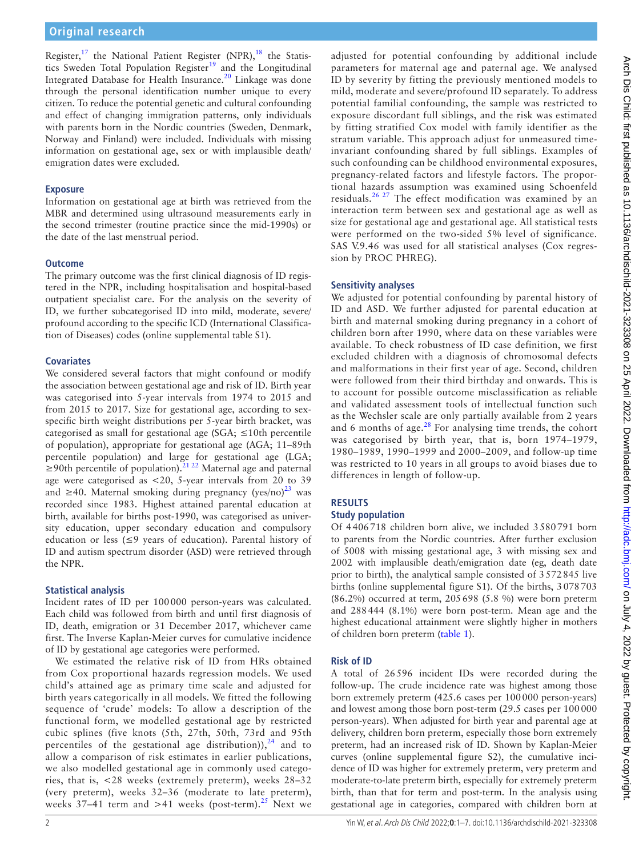Register,<sup>17</sup> the National Patient Register (NPR),<sup>[18](#page-5-9)</sup> the Statis-tics Sweden Total Population Register<sup>[19](#page-5-10)</sup> and the Longitudinal Integrated Database for Health Insurance.<sup>[20](#page-5-11)</sup> Linkage was done through the personal identification number unique to every citizen. To reduce the potential genetic and cultural confounding and effect of changing immigration patterns, only individuals with parents born in the Nordic countries (Sweden, Denmark, Norway and Finland) were included. Individuals with missing information on gestational age, sex or with implausible death/ emigration dates were excluded.

### **Exposure**

Information on gestational age at birth was retrieved from the MBR and determined using ultrasound measurements early in the second trimester (routine practice since the mid-1990s) or the date of the last menstrual period.

### **Outcome**

The primary outcome was the first clinical diagnosis of ID registered in the NPR, including hospitalisation and hospital-based outpatient specialist care. For the analysis on the severity of ID, we further subcategorised ID into mild, moderate, severe/ profound according to the specific ICD (International Classification of Diseases) codes ([online supplemental table S1\)](https://dx.doi.org/10.1136/archdischild-2021-323308).

# **Covariates**

We considered several factors that might confound or modify the association between gestational age and risk of ID. Birth year was categorised into 5-year intervals from 1974 to 2015 and from 2015 to 2017. Size for gestational age, according to sexspecific birth weight distributions per 5-year birth bracket, was categorised as small for gestational age (SGA;  $\leq 10$ th percentile of population), appropriate for gestational age (AGA; 11–89th percentile population) and large for gestational age (LGA;  $\geq$ 90th percentile of population).<sup>[21 22](#page-6-0)</sup> Maternal age and paternal age were categorised as <20, 5-year intervals from 20 to 39 and ≥40. Maternal smoking during pregnancy (yes/no)<sup>[23](#page-6-1)</sup> was recorded since 1983. Highest attained parental education at birth, available for births post-1990, was categorised as university education, upper secondary education and compulsory education or less (≤9 years of education). Parental history of ID and autism spectrum disorder (ASD) were retrieved through the NPR.

# **Statistical analysis**

Incident rates of ID per 100000 person-years was calculated. Each child was followed from birth and until first diagnosis of ID, death, emigration or 31 December 2017, whichever came first. The Inverse Kaplan-Meier curves for cumulative incidence of ID by gestational age categories were performed.

We estimated the relative risk of ID from HRs obtained from Cox proportional hazards regression models. We used child's attained age as primary time scale and adjusted for birth years categorically in all models. We fitted the following sequence of 'crude' models: To allow a description of the functional form, we modelled gestational age by restricted cubic splines (five knots (5th, 27th, 50th, 73rd and 95th percentiles of the gestational age distribution)), $24$  and to allow a comparison of risk estimates in earlier publications, we also modelled gestational age in commonly used categories, that is, <28 weeks (extremely preterm), weeks 28–32 (very preterm), weeks 32–36 (moderate to late preterm), weeks 37–41 term and >41 weeks (post-term).<sup>25</sup> Next we

adjusted for potential confounding by additional include parameters for maternal age and paternal age. We analysed ID by severity by fitting the previously mentioned models to mild, moderate and severe/profound ID separately. To address potential familial confounding, the sample was restricted to exposure discordant full siblings, and the risk was estimated by fitting stratified Cox model with family identifier as the stratum variable. This approach adjust for unmeasured timeinvariant confounding shared by full siblings. Examples of such confounding can be childhood environmental exposures, pregnancy-related factors and lifestyle factors. The proportional hazards assumption was examined using Schoenfeld residuals.[26 27](#page-6-4) The effect modification was examined by an interaction term between sex and gestational age as well as size for gestational age and gestational age. All statistical tests were performed on the two-sided 5% level of significance. SAS V.9.46 was used for all statistical analyses (Cox regression by PROC PHREG).

# **Sensitivity analyses**

We adjusted for potential confounding by parental history of ID and ASD. We further adjusted for parental education at birth and maternal smoking during pregnancy in a cohort of children born after 1990, where data on these variables were available. To check robustness of ID case definition, we first excluded children with a diagnosis of chromosomal defects and malformations in their first year of age. Second, children were followed from their third birthday and onwards. This is to account for possible outcome misclassification as reliable and validated assessment tools of intellectual function such as the Wechsler scale are only partially available from 2 years and 6 months of age. $^{28}$  For analysing time trends, the cohort was categorised by birth year, that is, born 1974–1979, 1980–1989, 1990–1999 and 2000–2009, and follow-up time was restricted to 10 years in all groups to avoid biases due to differences in length of follow-up.

# **RESULTS**

# **Study population**

Of 4406718 children born alive, we included 3580791 born to parents from the Nordic countries. After further exclusion of 5008 with missing gestational age, 3 with missing sex and 2002 with implausible death/emigration date (eg, death date prior to birth), the analytical sample consisted of 3572845 live births ([online supplemental figure S1](https://dx.doi.org/10.1136/archdischild-2021-323308)). Of the births, 3078703 (86.2%) occurred at term, 205698 (5.8 %) were born preterm and 288444 (8.1%) were born post-term. Mean age and the highest educational attainment were slightly higher in mothers of children born preterm [\(table](#page-2-0) 1).

# **Risk of ID**

A total of 26596 incident IDs were recorded during the follow-up. The crude incidence rate was highest among those born extremely preterm (425.6 cases per 100000 person-years) and lowest among those born post-term (29.5 cases per 100000 person-years). When adjusted for birth year and parental age at delivery, children born preterm, especially those born extremely preterm, had an increased risk of ID. Shown by Kaplan-Meier curves [\(online supplemental figure S2\)](https://dx.doi.org/10.1136/archdischild-2021-323308), the cumulative incidence of ID was higher for extremely preterm, very preterm and moderate-to-late preterm birth, especially for extremely preterm birth, than that for term and post-term. In the analysis using gestational age in categories, compared with children born at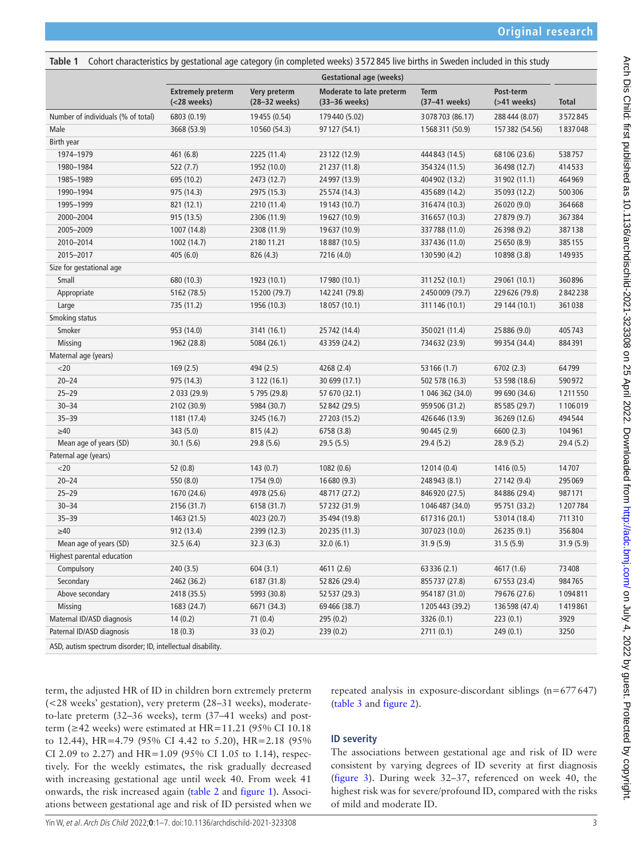<span id="page-2-0"></span>**Table 1** Cohort characteristics by gestational age category (in completed weeks) 3 572 845 live births in Sweden included in this study

|                                    | <b>Gestational age (weeks)</b>          |                               |                                           |                              |                                |              |
|------------------------------------|-----------------------------------------|-------------------------------|-------------------------------------------|------------------------------|--------------------------------|--------------|
|                                    | <b>Extremely preterm</b><br>(<28 weeks) | Very preterm<br>(28-32 weeks) | Moderate to late preterm<br>(33-36 weeks) | <b>Term</b><br>(37-41 weeks) | Post-term<br>$($ >41 weeks $)$ | <b>Total</b> |
| Number of individuals (% of total) | 6803 (0.19)                             | 19455 (0.54)                  | 179440 (5.02)                             | 3078703 (86.17)              | 288444 (8.07)                  | 3572845      |
| Male                               | 3668 (53.9)                             | 10560 (54.3)                  | 97 127 (54.1)                             | 1568311 (50.9)               | 157382 (54.56)                 | 1837048      |
| Birth year                         |                                         |                               |                                           |                              |                                |              |
| 1974-1979                          | 461 (6.8)                               | 2225 (11.4)                   | 23 122 (12.9)                             | 444 843 (14.5)               | 68106 (23.6)                   | 538757       |
| 1980-1984                          | 522(7.7)                                | 1952 (10.0)                   | 21 237 (11.8)                             | 354324 (11.5)                | 36498 (12.7)                   | 414533       |
| 1985-1989                          | 695 (10.2)                              | 2473 (12.7)                   | 24 997 (13.9)                             | 404 902 (13.2)               | 31 902 (11.1)                  | 464969       |
| 1990-1994                          | 975 (14.3)                              | 2975 (15.3)                   | 25 574 (14.3)                             | 435 689 (14.2)               | 35 093 (12.2)                  | 500306       |
| 1995-1999                          | 821 (12.1)                              | 2210 (11.4)                   | 19143 (10.7)                              | 316474 (10.3)                | 26020 (9.0)                    | 364668       |
| 2000-2004                          | 915 (13.5)                              | 2306 (11.9)                   | 19627 (10.9)                              | 316657 (10.3)                | 27879 (9.7)                    | 367384       |
| 2005-2009                          | 1007 (14.8)                             | 2308 (11.9)                   | 19637 (10.9)                              | 337 788 (11.0)               | 26398 (9.2)                    | 387138       |
| 2010-2014                          | 1002 (14.7)                             | 2180 11.21                    | 18887 (10.5)                              | 337 436 (11.0)               | 25 650 (8.9)                   | 385155       |
| 2015-2017                          | 405 (6.0)                               | 826 (4.3)                     | 7216 (4.0)                                | 130 590 (4.2)                | 10898 (3.8)                    | 149935       |
| Size for gestational age           |                                         |                               |                                           |                              |                                |              |
| Small                              | 680 (10.3)                              | 1923 (10.1)                   | 17980 (10.1)                              | 311 252 (10.1)               | 29061 (10.1)                   | 360896       |
| Appropriate                        | 5162 (78.5)                             | 15200 (79.7)                  | 142 241 (79.8)                            | 2450009 (79.7)               | 229626 (79.8)                  | 2842238      |
| Large                              | 735 (11.2)                              | 1956 (10.3)                   | 18057 (10.1)                              | 311 146 (10.1)               | 29 144 (10.1)                  | 361038       |
| Smoking status                     |                                         |                               |                                           |                              |                                |              |
| Smoker                             | 953 (14.0)                              | 3141 (16.1)                   | 25 742 (14.4)                             | 350021 (11.4)                | 25 886 (9.0)                   | 405743       |
| <b>Missing</b>                     | 1962 (28.8)                             | 5084 (26.1)                   | 43 359 (24.2)                             | 734632 (23.9)                | 99354 (34.4)                   | 884391       |
| Maternal age (years)               |                                         |                               |                                           |                              |                                |              |
| $<$ 20                             | 169(2.5)                                | 494 (2.5)                     | 4268 (2.4)                                | 53 166 (1.7)                 | 6702(2.3)                      | 64799        |
| $20 - 24$                          | 975 (14.3)                              | 3 122 (16.1)                  | 30 699 (17.1)                             | 502 578 (16.3)               | 53 598 (18.6)                  | 590972       |
| $25 - 29$                          | 2 033 (29.9)                            | 5 795 (29.8)                  | 57 670 (32.1)                             | 1 046 362 (34.0)             | 99 690 (34.6)                  | 1211550      |
| $30 - 34$                          | 2102 (30.9)                             | 5984 (30.7)                   | 52 842 (29.5)                             | 959 506 (31.2)               | 85 585 (29.7)                  | 1106019      |
| $35 - 39$                          | 1181 (17.4)                             | 3245 (16.7)                   | 27 203 (15.2)                             | 426 646 (13.9)               | 36269 (12.6)                   | 494544       |
| $\geq 40$                          | 343 (5.0)                               | 815 (4.2)                     | 6758 (3.8)                                | 90 445 (2.9)                 | 6600(2.3)                      | 104961       |
| Mean age of years (SD)             | 30.1(5.6)                               | 29.8(5.6)                     | 29.5(5.5)                                 | 29.4(5.2)                    | 28.9(5.2)                      | 29.4(5.2)    |
| Paternal age (years)               |                                         |                               |                                           |                              |                                |              |
| $<$ 20                             | 52(0.8)                                 | 143(0.7)                      | 1082(0.6)                                 | 12 014 (0.4)                 | 1416(0.5)                      | 14707        |
| $20 - 24$                          | 550 (8.0)                               | 1754 (9.0)                    | 16680 (9.3)                               | 248 943 (8.1)                | 27142 (9.4)                    | 295069       |
| $25 - 29$                          | 1670 (24.6)                             | 4978 (25.6)                   | 48717 (27.2)                              | 846 920 (27.5)               | 84886 (29.4)                   | 987171       |
| $30 - 34$                          | 2156 (31.7)                             | 6158 (31.7)                   | 57232 (31.9)                              | 1046487 (34.0)               | 95751 (33.2)                   | 1207784      |
| $35 - 39$                          | 1463 (21.5)                             | 4023 (20.7)                   | 35 494 (19.8)                             | 617316 (20.1)                | 53 014 (18.4)                  | 711310       |
| $\geq 40$                          | 912 (13.4)                              | 2399 (12.3)                   | 20235 (11.3)                              | 307 023 (10.0)               | 26235 (9.1)                    | 356804       |
| Mean age of years (SD)             | 32.5(6.4)                               | 32.3(6.3)                     | 32.0(6.1)                                 | 31.9(5.9)                    | 31.5(5.9)                      | 31.9(5.9)    |
| Highest parental education         |                                         |                               |                                           |                              |                                |              |
| Compulsory                         | 240(3.5)                                | 604(3.1)                      | 4611 (2.6)                                | 63 336 (2.1)                 | 4617 (1.6)                     | 73408        |
| Secondary                          | 2462 (36.2)                             | 6187 (31.8)                   | 52 826 (29.4)                             | 855 737 (27.8)               | 67553 (23.4)                   | 984765       |
| Above secondary                    | 2418 (35.5)                             | 5993 (30.8)                   | 52 537 (29.3)                             | 954 187 (31.0)               | 79676 (27.6)                   | 1094811      |
| Missing                            | 1683 (24.7)                             | 6671 (34.3)                   | 69466 (38.7)                              | 1205443 (39.2)               | 136598 (47.4)                  | 1419861      |
| Maternal ID/ASD diagnosis          | 14(0.2)                                 | 71(0.4)                       | 295 (0.2)                                 | 3326 (0.1)                   | 223(0.1)                       | 3929         |
| Paternal ID/ASD diagnosis          | 18(0.3)                                 | 33(0.2)                       | 239(0.2)                                  | 2711(0.1)                    | 249(0.1)                       | 3250         |
|                                    |                                         |                               |                                           |                              |                                |              |

ASD, autism spectrum disorder; ID, intellectual disability.

term, the adjusted HR of ID in children born extremely preterm (<28 weeks' gestation), very preterm (28–31 weeks), moderateto-late preterm (32–36 weeks), term (37–41 weeks) and postterm ( $\geq$ 42 weeks) were estimated at HR=11.21 (95% CI 10.18 to 12.44), HR=4.79 (95% CI 4.42 to 5.20), HR=2.18 (95% CI 2.09 to 2.27) and HR=1.09 (95% CI 1.05 to 1.14), respectively. For the weekly estimates, the risk gradually decreased with increasing gestational age until week 40. From week 41 onwards, the risk increased again ([table](#page-3-0) 2 and [figure](#page-3-1) 1). Associations between gestational age and risk of ID persisted when we

repeated analysis in exposure-discordant siblings (n=677647) ([table](#page-4-0) 3 and [figure](#page-4-1) 2).

### **ID severity**

The associations between gestational age and risk of ID were consistent by varying degrees of ID severity at first diagnosis ([figure](#page-4-2) 3). During week 32–37, referenced on week 40, the highest risk was for severe/profound ID, compared with the risks of mild and moderate ID.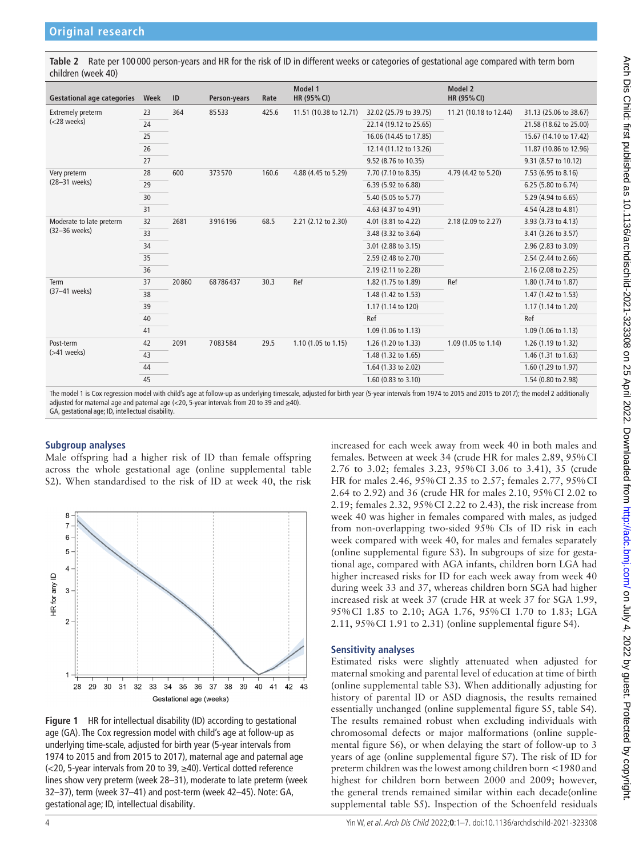<span id="page-3-0"></span>**Table 2** Rate per 100 000 person-years and HR for the risk of ID in different weeks or categories of gestational age compared with term born children (week 40)

| <b>Gestational age categories</b>          | Week | ID    | Person-years | Rate  | Model 1<br>HR (95% CI) |                        | Model 2<br>HR (95% CI) |                        |
|--------------------------------------------|------|-------|--------------|-------|------------------------|------------------------|------------------------|------------------------|
| <b>Extremely preterm</b><br>$(<$ 28 weeks) | 23   | 364   | 85533        | 425.6 | 11.51 (10.38 to 12.71) | 32.02 (25.79 to 39.75) | 11.21 (10.18 to 12.44) | 31.13 (25.06 to 38.67) |
|                                            | 24   |       |              |       |                        | 22.14 (19.12 to 25.65) |                        | 21.58 (18.62 to 25.00) |
|                                            | 25   |       |              |       |                        | 16.06 (14.45 to 17.85) |                        | 15.67 (14.10 to 17.42) |
|                                            | 26   |       |              |       |                        | 12.14 (11.12 to 13.26) |                        | 11.87 (10.86 to 12.96) |
|                                            | 27   |       |              |       |                        | 9.52 (8.76 to 10.35)   |                        | 9.31 (8.57 to 10.12)   |
| Very preterm<br>(28-31 weeks)              | 28   | 600   | 373570       | 160.6 | 4.88 (4.45 to 5.29)    | 7.70 (7.10 to 8.35)    | 4.79 (4.42 to 5.20)    | 7.53 (6.95 to 8.16)    |
|                                            | 29   |       |              |       |                        | 6.39 (5.92 to 6.88)    |                        | 6.25 (5.80 to 6.74)    |
|                                            | 30   |       |              |       |                        | 5.40 (5.05 to 5.77)    |                        | 5.29 (4.94 to 6.65)    |
|                                            | 31   |       |              |       |                        | 4.63 (4.37 to 4.91)    |                        | 4.54 (4.28 to 4.81)    |
| Moderate to late preterm<br>(32-36 weeks)  | 32   | 2681  | 3916196      | 68.5  | 2.21 (2.12 to 2.30)    | 4.01 (3.81 to 4.22)    | 2.18 (2.09 to 2.27)    | 3.93 (3.73 to 4.13)    |
|                                            | 33   |       |              |       |                        | 3.48 (3.32 to 3.64)    |                        | 3.41 (3.26 to 3.57)    |
|                                            | 34   |       |              |       |                        | 3.01 (2.88 to 3.15)    |                        | 2.96 (2.83 to 3.09)    |
|                                            | 35   |       |              |       |                        | 2.59 (2.48 to 2.70)    |                        | 2.54 (2.44 to 2.66)    |
|                                            | 36   |       |              |       |                        | 2.19 (2.11 to 2.28)    |                        | 2.16 (2.08 to 2.25)    |
| Term<br>(37-41 weeks)                      | 37   | 20860 | 68786437     | 30.3  | Ref                    | 1.82 (1.75 to 1.89)    | Ref                    | 1.80 (1.74 to 1.87)    |
|                                            | 38   |       |              |       |                        | 1.48 (1.42 to 1.53)    |                        | 1.47 (1.42 to 1.53)    |
|                                            | 39   |       |              |       |                        | 1.17 (1.14 to 120)     |                        | 1.17 (1.14 to 1.20)    |
|                                            | 40   |       |              |       |                        | Ref                    |                        | Ref                    |
|                                            | 41   |       |              |       |                        | 1.09 (1.06 to 1.13)    |                        | 1.09 (1.06 to 1.13)    |
| Post-term<br>$($ >41 weeks $)$             | 42   | 2091  | 7083584      | 29.5  | 1.10 (1.05 to 1.15)    | 1.26 (1.20 to 1.33)    | 1.09 (1.05 to 1.14)    | 1.26 (1.19 to 1.32)    |
|                                            | 43   |       |              |       |                        | 1.48 (1.32 to 1.65)    |                        | 1.46 (1.31 to 1.63)    |
|                                            | 44   |       |              |       |                        | 1.64 (1.33 to 2.02)    |                        | 1.60 (1.29 to 1.97)    |
|                                            | 45   |       |              |       |                        | 1.60 (0.83 to 3.10)    |                        | 1.54 (0.80 to 2.98)    |

The model 1 is Cox regression model with child's age at follow-up as underlying timescale, adjusted for birth year (5-year intervals from 1974 to 2015 and 2015 to 2017); the model 2 additionally adjusted for maternal age and paternal age (<20, 5-year intervals from 20 to 39 and ≥40). GA, gestational age; ID, intellectual disability.

### **Subgroup analyses**

Male offspring had a higher risk of ID than female offspring across the whole gestational age [\(online supplemental table](https://dx.doi.org/10.1136/archdischild-2021-323308)  [S2\)](https://dx.doi.org/10.1136/archdischild-2021-323308). When standardised to the risk of ID at week 40, the risk



<span id="page-3-1"></span>**Figure 1** HR for intellectual disability (ID) according to gestational age (GA). The Cox regression model with child's age at follow-up as underlying time-scale, adjusted for birth year (5-year intervals from 1974 to 2015 and from 2015 to 2017), maternal age and paternal age (<20, 5-year intervals from 20 to 39, ≥40). Vertical dotted reference lines show very preterm (week 28–31), moderate to late preterm (week 32–37), term (week 37–41) and post-term (week 42–45). Note: GA, gestational age; ID, intellectual disability.

increased for each week away from week 40 in both males and females. Between at week 34 (crude HR for males 2.89, 95%CI 2.76 to 3.02; females 3.23, 95%CI 3.06 to 3.41), 35 (crude HR for males 2.46, 95%CI 2.35 to 2.57; females 2.77, 95%CI 2.64 to 2.92) and 36 (crude HR for males 2.10, 95%CI 2.02 to 2.19; females 2.32, 95%CI 2.22 to 2.43), the risk increase from week 40 was higher in females compared with males, as judged from non-overlapping two-sided 95% CIs of ID risk in each week compared with week 40, for males and females separately ([online supplemental figure S3](https://dx.doi.org/10.1136/archdischild-2021-323308)). In subgroups of size for gestational age, compared with AGA infants, children born LGA had higher increased risks for ID for each week away from week 40 during week 33 and 37, whereas children born SGA had higher increased risk at week 37 (crude HR at week 37 for SGA 1.99, 95%CI 1.85 to 2.10; AGA 1.76, 95%CI 1.70 to 1.83; LGA 2.11, 95%CI 1.91 to 2.31) ([online supplemental figure S4\)](https://dx.doi.org/10.1136/archdischild-2021-323308).

### **Sensitivity analyses**

Estimated risks were slightly attenuated when adjusted for maternal smoking and parental level of education at time of birth ([online supplemental table S3\)](https://dx.doi.org/10.1136/archdischild-2021-323308). When additionally adjusting for history of parental ID or ASD diagnosis, the results remained essentially unchanged [\(online supplemental figure S5, table S4\)](https://dx.doi.org/10.1136/archdischild-2021-323308). The results remained robust when excluding individuals with chromosomal defects or major malformations ([online supple](https://dx.doi.org/10.1136/archdischild-2021-323308)[mental figure S6](https://dx.doi.org/10.1136/archdischild-2021-323308)), or when delaying the start of follow-up to 3 years of age ([online supplemental figure S7\)](https://dx.doi.org/10.1136/archdischild-2021-323308). The risk of ID for preterm children was the lowest among children born <1980and highest for children born between 2000 and 2009; however, the general trends remained similar within each decade[\(online](https://dx.doi.org/10.1136/archdischild-2021-323308) [supplemental table S5](https://dx.doi.org/10.1136/archdischild-2021-323308)). Inspection of the Schoenfeld residuals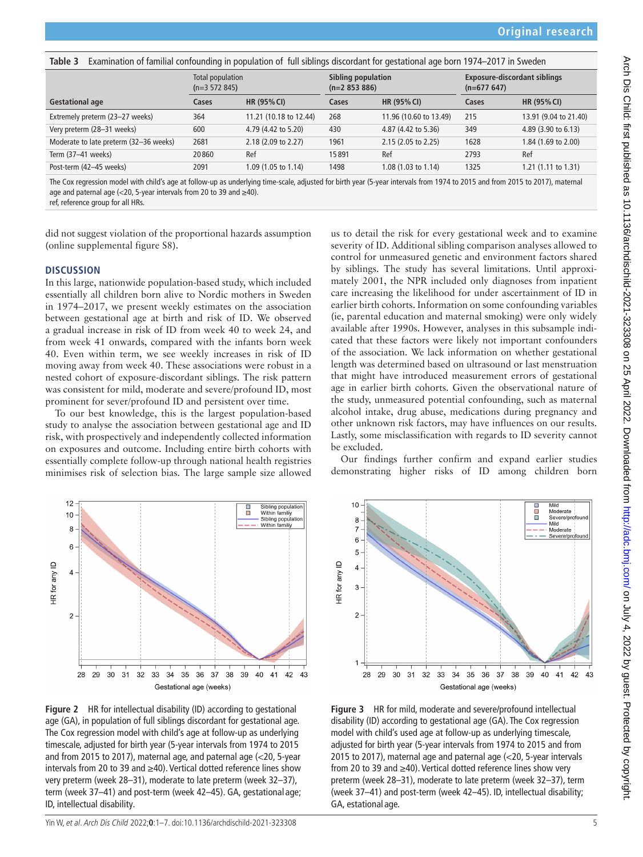<span id="page-4-0"></span>**Table 3** Examination of familial confounding in population of full siblings discordant for gestational age born 1974–2017 in Sweden

|                                        | Total population<br>$(n=3 572 845)$ |                        | Sibling population<br>$(n=2853886)$ |                                | <b>Exposure-discordant siblings</b><br>$(n=677647)$ |                       |
|----------------------------------------|-------------------------------------|------------------------|-------------------------------------|--------------------------------|-----------------------------------------------------|-----------------------|
| <b>Gestational age</b>                 | Cases                               | <b>HR (95% CI)</b>     | Cases                               | HR (95% CI)                    | Cases                                               | <b>HR (95% CI)</b>    |
| Extremely preterm (23-27 weeks)        | 364                                 | 11.21 (10.18 to 12.44) | 268                                 | 11.96 (10.60 to 13.49)         | 215                                                 | 13.91 (9.04 to 21.40) |
| Very preterm (28-31 weeks)             | 600                                 | 4.79 (4.42 to 5.20)    | 430                                 | 4.87 (4.42 to 5.36)            | 349                                                 | 4.89 (3.90 to 6.13)   |
| Moderate to late preterm (32-36 weeks) | 2681                                | 2.18 (2.09 to 2.27)    | 1961                                | $2.15(2.05 \text{ to } 2.25)$  | 1628                                                | 1.84 (1.69 to 2.00)   |
| Term (37-41 weeks)                     | 20860                               | Ref                    | 15891                               | Ref                            | 2793                                                | Ref                   |
| Post-term (42-45 weeks)                | 2091                                | 1.09 (1.05 to 1.14)    | 1498                                | 1.08 $(1.03 \text{ to } 1.14)$ | 1325                                                | 1.21 (1.11 to 1.31)   |

The Cox regression model with child's age at follow-up as underlying time-scale, adjusted for birth year (5-year intervals from 1974 to 2015 and from 2015 to 2017), maternal age and paternal age (<20, 5-year intervals from 20 to 39 and  $\geq$ 40).

ref, reference group for all HRs.

did not suggest violation of the proportional hazards assumption ([online supplemental figure S8\)](https://dx.doi.org/10.1136/archdischild-2021-323308).

### **DISCUSSION**

In this large, nationwide population-based study, which included essentially all children born alive to Nordic mothers in Sweden in 1974–2017, we present weekly estimates on the association between gestational age at birth and risk of ID. We observed a gradual increase in risk of ID from week 40 to week 24, and from week 41 onwards, compared with the infants born week 40. Even within term, we see weekly increases in risk of ID moving away from week 40. These associations were robust in a nested cohort of exposure-discordant siblings. The risk pattern was consistent for mild, moderate and severe/profound ID, most prominent for sever/profound ID and persistent over time.

To our best knowledge, this is the largest population-based study to analyse the association between gestational age and ID risk, with prospectively and independently collected information on exposures and outcome. Including entire birth cohorts with essentially complete follow-up through national health registries minimises risk of selection bias. The large sample size allowed



<span id="page-4-1"></span>**Figure 2** HR for intellectual disability (ID) according to gestational age (GA), in population of full siblings discordant for gestational age. The Cox regression model with child's age at follow-up as underlying timescale, adjusted for birth year (5-year intervals from 1974 to 2015 and from 2015 to 2017), maternal age, and paternal age (<20, 5-year intervals from 20 to 39 and ≥40). Vertical dotted reference lines show very preterm (week 28–31), moderate to late preterm (week 32–37), term (week 37–41) and post-term (week 42–45). GA, gestational age; ID, intellectual disability.

us to detail the risk for every gestational week and to examine severity of ID. Additional sibling comparison analyses allowed to control for unmeasured genetic and environment factors shared by siblings. The study has several limitations. Until approximately 2001, the NPR included only diagnoses from inpatient care increasing the likelihood for under ascertainment of ID in earlier birth cohorts. Information on some confounding variables (ie, parental education and maternal smoking) were only widely available after 1990s. However, analyses in this subsample indicated that these factors were likely not important confounders of the association. We lack information on whether gestational length was determined based on ultrasound or last menstruation that might have introduced measurement errors of gestational age in earlier birth cohorts. Given the observational nature of the study, unmeasured potential confounding, such as maternal alcohol intake, drug abuse, medications during pregnancy and other unknown risk factors, may have influences on our results. Lastly, some misclassification with regards to ID severity cannot be excluded.

Our findings further confirm and expand earlier studies demonstrating higher risks of ID among children born



<span id="page-4-2"></span>**Figure 3** HR for mild, moderate and severe/profound intellectual disability (ID) according to gestational age (GA). The Cox regression model with child's used age at follow-up as underlying timescale, adjusted for birth year (5-year intervals from 1974 to 2015 and from 2015 to 2017), maternal age and paternal age (<20, 5-year intervals from 20 to 39 and ≥40). Vertical dotted reference lines show very preterm (week 28–31), moderate to late preterm (week 32–37), term (week 37–41) and post-term (week 42–45). ID, intellectual disability; GA, estational age.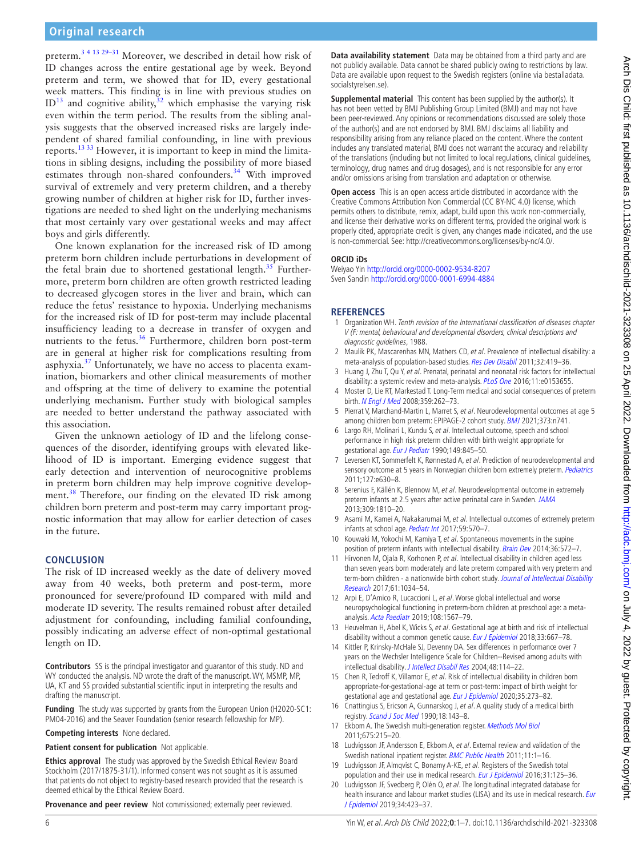# **Original research**

preterm.[3 4 13 29–31](#page-5-2) Moreover, we described in detail how risk of ID changes across the entire gestational age by week. Beyond preterm and term, we showed that for ID, every gestational week matters. This finding is in line with previous studies on  $ID<sup>13</sup>$  and cognitive ability,<sup>32</sup> which emphasise the varying risk even within the term period. The results from the sibling analysis suggests that the observed increased risks are largely independent of shared familial confounding, in line with previous reports.[13 33](#page-5-4) However, it is important to keep in mind the limitations in sibling designs, including the possibility of more biased estimates through non-shared confounders.<sup>34</sup> With improved survival of extremely and very preterm children, and a thereby growing number of children at higher risk for ID, further investigations are needed to shed light on the underlying mechanisms that most certainly vary over gestational weeks and may affect boys and girls differently.

One known explanation for the increased risk of ID among preterm born children include perturbations in development of the fetal brain due to shortened gestational length. $35$  Furthermore, preterm born children are often growth restricted leading to decreased glycogen stores in the liver and brain, which can reduce the fetus' resistance to hypoxia. Underlying mechanisms for the increased risk of ID for post-term may include placental insufficiency leading to a decrease in transfer of oxygen and nutrients to the fetus.[36](#page-6-9) Furthermore, children born post-term are in general at higher risk for complications resulting from asphyxia.<sup>37</sup> Unfortunately, we have no access to placenta examination, biomarkers and other clinical measurements of mother and offspring at the time of delivery to examine the potential underlying mechanism. Further study with biological samples are needed to better understand the pathway associated with this association.

Given the unknown aetiology of ID and the lifelong consequences of the disorder, identifying groups with elevated likelihood of ID is important. Emerging evidence suggest that early detection and intervention of neurocognitive problems in preterm born children may help improve cognitive development.<sup>38</sup> Therefore, our finding on the elevated ID risk among children born preterm and post-term may carry important prognostic information that may allow for earlier detection of cases in the future.

### **CONCLUSION**

The risk of ID increased weekly as the date of delivery moved away from 40 weeks, both preterm and post-term, more pronounced for severe/profound ID compared with mild and moderate ID severity. The results remained robust after detailed adjustment for confounding, including familial confounding, possibly indicating an adverse effect of non-optimal gestational length on ID.

**Contributors** SS is the principal investigator and guarantor of this study. ND and WY conducted the analysis. ND wrote the draft of the manuscript. WY, MSMP, MP, UA, KT and SS provided substantial scientific input in interpreting the results and drafting the manuscript.

**Funding** The study was supported by grants from the European Union (H2020-SC1: PM04-2016) and the Seaver Foundation (senior research fellowship for MP).

**Competing interests** None declared.

**Patient consent for publication** Not applicable.

**Ethics approval** The study was approved by the Swedish Ethical Review Board Stockholm (2017/1875-31/1). Informed consent was not sought as it is assumed that patients do not object to registry-based research provided that the research is deemed ethical by the Ethical Review Board.

**Provenance and peer review** Not commissioned; externally peer reviewed.

**Data availability statement** Data may be obtained from a third party and are not publicly available. Data cannot be shared publicly owing to restrictions by law. Data are available upon request to the Swedish registers (online via bestalladata. socialstyrelsen.se).

**Supplemental material** This content has been supplied by the author(s). It has not been vetted by BMJ Publishing Group Limited (BMJ) and may not have been peer-reviewed. Any opinions or recommendations discussed are solely those of the author(s) and are not endorsed by BMJ. BMJ disclaims all liability and responsibility arising from any reliance placed on the content. Where the content includes any translated material, BMJ does not warrant the accuracy and reliability of the translations (including but not limited to local regulations, clinical guidelines, terminology, drug names and drug dosages), and is not responsible for any error and/or omissions arising from translation and adaptation or otherwise.

**Open access** This is an open access article distributed in accordance with the Creative Commons Attribution Non Commercial (CC BY-NC 4.0) license, which permits others to distribute, remix, adapt, build upon this work non-commercially, and license their derivative works on different terms, provided the original work is properly cited, appropriate credit is given, any changes made indicated, and the use is non-commercial. See: [http://creativecommons.org/licenses/by-nc/4.0/.](http://creativecommons.org/licenses/by-nc/4.0/)

### **ORCID iDs**

Weiyao Yin<http://orcid.org/0000-0002-9534-8207> Sven Sandin <http://orcid.org/0000-0001-6994-4884>

### **REFERENCES**

- <span id="page-5-0"></span>1 Organization WH. Tenth revision of the International classification of diseases chapter V (F: mental, behavioural and developmental disorders, clinical descriptions and diagnostic guidelines, 1988.
- <span id="page-5-1"></span>2 Maulik PK, Mascarenhas MN, Mathers CD, et al. Prevalence of intellectual disability: a meta-analysis of population-based studies. [Res Dev Disabil](http://dx.doi.org/10.1016/j.ridd.2010.12.018) 2011;32:419-36.
- <span id="page-5-2"></span>3 Huang J, Zhu T, Qu Y, et al. Prenatal, perinatal and neonatal risk factors for intellectual disability: a systemic review and meta-analysis. [PLoS One](http://dx.doi.org/10.1371/journal.pone.0153655) 2016;11:e0153655.
- <span id="page-5-3"></span>4 Moster D, Lie RT, Markestad T. Long-Term medical and social consequences of preterm birth. [N Engl J Med](http://dx.doi.org/10.1056/NEJMoa0706475) 2008;359:262-73.
- 5 Pierrat V, Marchand-Martin L, Marret S, et al. Neurodevelopmental outcomes at age 5 among children born preterm: EPIPAGE-2 cohort study. [BMJ](http://dx.doi.org/10.1136/bmj.n741) 2021;373:n741.
- 6 Largo RH, Molinari L, Kundu S, et al. Intellectual outcome, speech and school performance in high risk preterm children with birth weight appropriate for gestational age. [Eur J Pediatr](http://dx.doi.org/10.1007/BF02072071) 1990;149:845-50.
- 7 Leversen KT, Sommerfelt K, Rønnestad A, et al. Prediction of neurodevelopmental and sensory outcome at 5 years in Norwegian children born extremely preterm. [Pediatrics](http://dx.doi.org/10.1542/peds.2010-1001) 2011;127:e630–8.
- 8 Serenius F, Källén K, Blennow M, et al. Neurodevelopmental outcome in extremely preterm infants at 2.5 years after active perinatal care in Sweden. [JAMA](http://dx.doi.org/10.1001/jama.2013.3786) 2013;309:1810–20.
- 9 Asami M, Kamei A, Nakakarumai M, et al. Intellectual outcomes of extremely preterm infants at school age. [Pediatr Int](http://dx.doi.org/10.1111/ped.13215) 2017;59:570-7.
- 10 Kouwaki M, Yokochi M, Kamiya T, et al. Spontaneous movements in the supine position of preterm infants with intellectual disability. [Brain Dev](http://dx.doi.org/10.1016/j.braindev.2013.08.003) 2014;36:572-7.
- 11 Hirvonen M, Ojala R, Korhonen P, et al. Intellectual disability in children aged less than seven years born moderately and late preterm compared with very preterm and term-born children - a nationwide birth cohort study. Journal of Intellectual Disability [Research](http://dx.doi.org/10.1111/jir.12394) 2017;61:1034–54.
- 12 Arpi E, D'Amico R, Lucaccioni L, et al. Worse global intellectual and worse neuropsychological functioning in preterm-born children at preschool age: a metaanalysis. [Acta Paediatr](http://dx.doi.org/10.1111/apa.14836) 2019;108:1567–79.
- <span id="page-5-4"></span>13 Heuvelman H, Abel K, Wicks S, et al. Gestational age at birth and risk of intellectual disability without a common genetic cause. [Eur J Epidemiol](http://dx.doi.org/10.1007/s10654-017-0340-1) 2018;33:667-78.
- <span id="page-5-5"></span>14 Kittler P, Krinsky-McHale SJ, Devenny DA. Sex differences in performance over 7 years on the Wechsler Intelligence Scale for Children--Revised among adults with intellectual disability. [J Intellect Disabil Res](http://dx.doi.org/10.1111/j.1365-2788.2004.00500.x) 2004;48:114–22.
- <span id="page-5-6"></span>15 Chen R, Tedroff K, Villamor E, et al. Risk of intellectual disability in children born appropriate-for-gestational-age at term or post-term: impact of birth weight for gestational age and gestational age. [Eur J Epidemiol](http://dx.doi.org/10.1007/s10654-019-00590-7) 2020;35:273-82.
- <span id="page-5-7"></span>16 Cnattingius S, Ericson A, Gunnarskog J, et al. A quality study of a medical birth registry. [Scand J Soc Med](http://dx.doi.org/10.1177/140349489001800209) 1990;18:143-8.
- <span id="page-5-8"></span>17 Ekbom A. The Swedish multi-generation register. [Methods Mol Biol](http://dx.doi.org/10.1007/978-1-59745-423-0_10) 2011;675:215–20.
- <span id="page-5-9"></span>18 Ludvigsson JF, Andersson E, Ekbom A, et al. External review and validation of the Swedish national inpatient register. [BMC Public Health](http://dx.doi.org/10.1186/1471-2458-11-450) 2011;11:1–16.
- <span id="page-5-10"></span>19 Ludvigsson JF, Almqvist C, Bonamy A-KE, et al. Registers of the Swedish total population and their use in medical research. [Eur J Epidemiol](http://dx.doi.org/10.1007/s10654-016-0117-y) 2016;31:125-36.
- <span id="page-5-11"></span>20 Ludvigsson JF, Svedberg P, Olén O, et al. The longitudinal integrated database for health insurance and labour market studies (LISA) and its use in medical research. Eur [J Epidemiol](http://dx.doi.org/10.1007/s10654-019-00511-8) 2019;34:423–37.